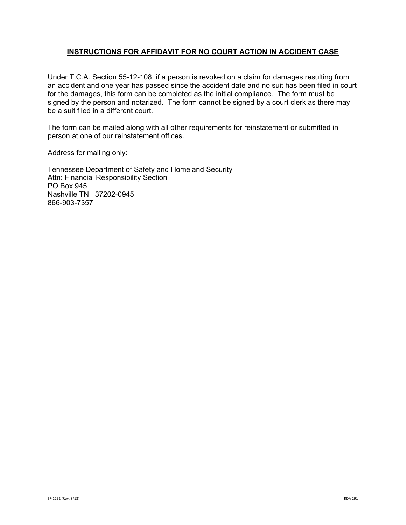## **INSTRUCTIONS FOR AFFIDAVIT FOR NO COURT ACTION IN ACCIDENT CASE**

Under T.C.A. Section 55-12-108, if a person is revoked on a claim for damages resulting from an accident and one year has passed since the accident date and no suit has been filed in court for the damages, this form can be completed as the initial compliance. The form must be signed by the person and notarized. The form cannot be signed by a court clerk as there may be a suit filed in a different court.

The form can be mailed along with all other requirements for reinstatement or submitted in person at one of our reinstatement offices.

Address for mailing only:

Tennessee Department of Safety and Homeland Security Attn: Financial Responsibility Section PO Box 945 Nashville TN 37202-0945 866-903-7357